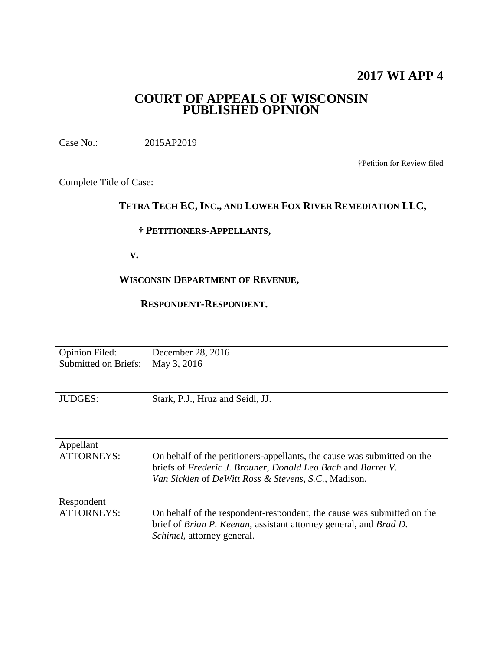# **2017 WI APP 4**

# **COURT OF APPEALS OF WISCONSIN PUBLISHED OPINION**

Case No.: 2015AP2019

†Petition for Review filed

Complete Title of Case:

# **TETRA TECH EC, INC., AND LOWER FOX RIVER REMEDIATION LLC,**

## **† PETITIONERS-APPELLANTS,**

 **V.**

# **WISCONSIN DEPARTMENT OF REVENUE,**

## **RESPONDENT-RESPONDENT.**

| <b>Opinion Filed:</b><br><b>Submitted on Briefs:</b> | December 28, 2016<br>May 3, 2016                                                                                                                                                                |
|------------------------------------------------------|-------------------------------------------------------------------------------------------------------------------------------------------------------------------------------------------------|
| <b>JUDGES:</b>                                       | Stark, P.J., Hruz and Seidl, JJ.                                                                                                                                                                |
| Appellant<br><b>ATTORNEYS:</b>                       | On behalf of the petitioners-appellants, the cause was submitted on the<br>briefs of Frederic J. Brouner, Donald Leo Bach and Barret V.<br>Van Sicklen of DeWitt Ross & Stevens, S.C., Madison. |
| Respondent<br>ATTORNEYS:                             | On behalf of the respondent-respondent, the cause was submitted on the<br>brief of Brian P. Keenan, assistant attorney general, and Brad D.<br><i>Schimel</i> , attorney general.               |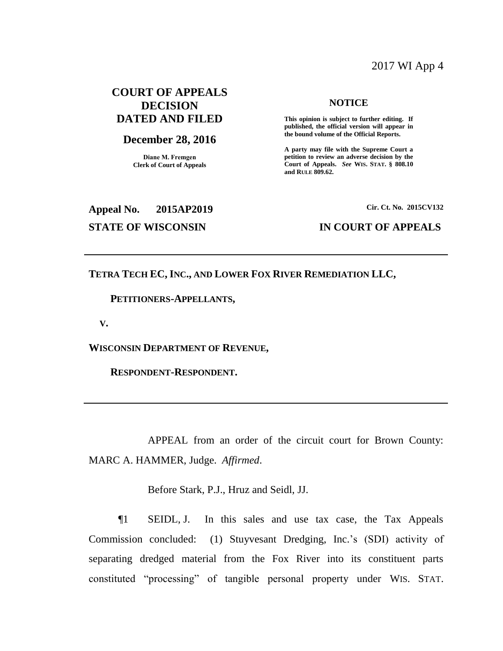# 2017 WI App 4

# **COURT OF APPEALS DECISION DATED AND FILED**

# **December 28, 2016**

**Diane M. Fremgen Clerk of Court of Appeals**

#### **NOTICE**

**This opinion is subject to further editing. If published, the official version will appear in the bound volume of the Official Reports.** 

**A party may file with the Supreme Court a petition to review an adverse decision by the Court of Appeals.** *See* **WIS. STAT. § 808.10 and RULE 809.62.** 

# **Appeal No. 2015AP2019 Cir. Ct. No. 2015CV132 STATE OF WISCONSIN IN COURT OF APPEALS**

## **TETRA TECH EC, INC., AND LOWER FOX RIVER REMEDIATION LLC,**

 **PETITIONERS-APPELLANTS,**

 **V.**

**WISCONSIN DEPARTMENT OF REVENUE,**

 **RESPONDENT-RESPONDENT.**

APPEAL from an order of the circuit court for Brown County: MARC A. HAMMER, Judge. *Affirmed*.

Before Stark, P.J., Hruz and Seidl, JJ.

¶1 SEIDL, J. In this sales and use tax case, the Tax Appeals Commission concluded: (1) Stuyvesant Dredging, Inc.'s (SDI) activity of separating dredged material from the Fox River into its constituent parts constituted "processing" of tangible personal property under WIS. STAT.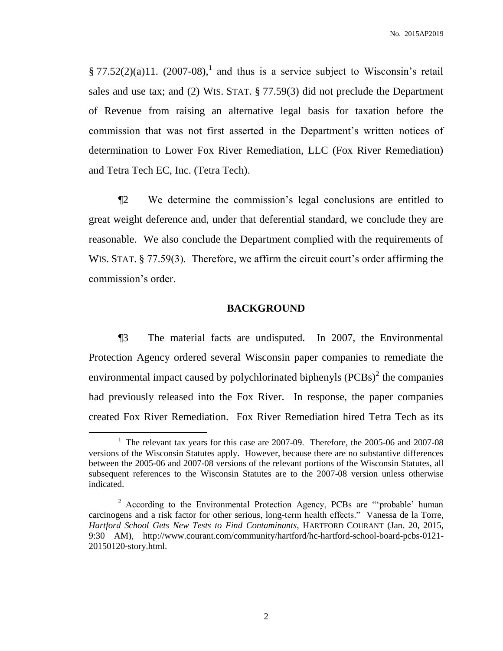§ 77.52(2)(a)11. (2007-08),<sup>1</sup> and thus is a service subject to Wisconsin's retail sales and use tax; and (2) WIS. STAT. § 77.59(3) did not preclude the Department of Revenue from raising an alternative legal basis for taxation before the commission that was not first asserted in the Department's written notices of determination to Lower Fox River Remediation, LLC (Fox River Remediation) and Tetra Tech EC, Inc. (Tetra Tech).

¶2 We determine the commission's legal conclusions are entitled to great weight deference and, under that deferential standard, we conclude they are reasonable. We also conclude the Department complied with the requirements of WIS. STAT. § 77.59(3). Therefore, we affirm the circuit court's order affirming the commission's order.

## **BACKGROUND**

¶3 The material facts are undisputed. In 2007, the Environmental Protection Agency ordered several Wisconsin paper companies to remediate the environmental impact caused by polychlorinated biphenyls  $(PCBs)^2$  the companies had previously released into the Fox River. In response, the paper companies created Fox River Remediation. Fox River Remediation hired Tetra Tech as its

<sup>&</sup>lt;sup>1</sup> The relevant tax years for this case are 2007-09. Therefore, the 2005-06 and 2007-08 versions of the Wisconsin Statutes apply. However, because there are no substantive differences between the 2005-06 and 2007-08 versions of the relevant portions of the Wisconsin Statutes, all subsequent references to the Wisconsin Statutes are to the 2007-08 version unless otherwise indicated.

<sup>&</sup>lt;sup>2</sup> According to the Environmental Protection Agency, PCBs are "'probable' human carcinogens and a risk factor for other serious, long-term health effects." Vanessa de la Torre, *Hartford School Gets New Tests to Find Contaminants*, HARTFORD COURANT (Jan. 20, 2015, 9:30 AM), http://www.courant.com/community/hartford/hc-hartford-school-board-pcbs-0121- 20150120-story.html.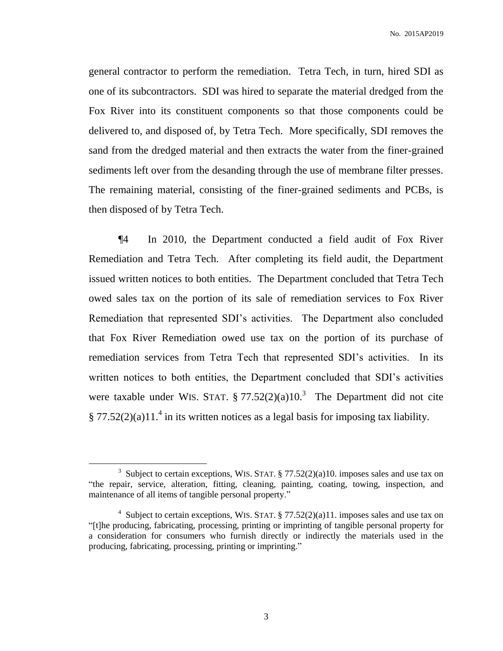general contractor to perform the remediation. Tetra Tech, in turn, hired SDI as one of its subcontractors. SDI was hired to separate the material dredged from the Fox River into its constituent components so that those components could be delivered to, and disposed of, by Tetra Tech. More specifically, SDI removes the sand from the dredged material and then extracts the water from the finer-grained sediments left over from the desanding through the use of membrane filter presses. The remaining material, consisting of the finer-grained sediments and PCBs, is then disposed of by Tetra Tech.

¶4 In 2010, the Department conducted a field audit of Fox River Remediation and Tetra Tech. After completing its field audit, the Department issued written notices to both entities. The Department concluded that Tetra Tech owed sales tax on the portion of its sale of remediation services to Fox River Remediation that represented SDI's activities. The Department also concluded that Fox River Remediation owed use tax on the portion of its purchase of remediation services from Tetra Tech that represented SDI's activities. In its written notices to both entities, the Department concluded that SDI's activities were taxable under WIS. STAT.  $\S 77.52(2)(a)10.<sup>3</sup>$  The Department did not cite  $\S 77.52(2)(a)11.<sup>4</sup>$  in its written notices as a legal basis for imposing tax liability.

<sup>&</sup>lt;sup>3</sup> Subject to certain exceptions, WIS. STAT.  $\S 77.52(2)(a)10$ . imposes sales and use tax on "the repair, service, alteration, fitting, cleaning, painting, coating, towing, inspection, and maintenance of all items of tangible personal property."

<sup>&</sup>lt;sup>4</sup> Subject to certain exceptions, WIS. STAT.  $\S 77.52(2)(a)11$ . imposes sales and use tax on "[t]he producing, fabricating, processing, printing or imprinting of tangible personal property for a consideration for consumers who furnish directly or indirectly the materials used in the producing, fabricating, processing, printing or imprinting."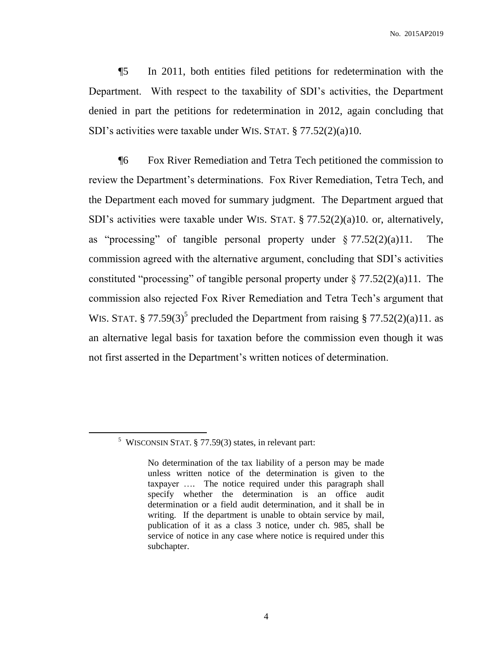No. 2015AP2019

¶5 In 2011, both entities filed petitions for redetermination with the Department. With respect to the taxability of SDI's activities, the Department denied in part the petitions for redetermination in 2012, again concluding that SDI's activities were taxable under WIS. STAT. § 77.52(2)(a)10.

¶6 Fox River Remediation and Tetra Tech petitioned the commission to review the Department's determinations. Fox River Remediation, Tetra Tech, and the Department each moved for summary judgment. The Department argued that SDI's activities were taxable under WIS. STAT. § 77.52(2)(a)10. or, alternatively, as "processing" of tangible personal property under  $\S 77.52(2)(a)11$ . The commission agreed with the alternative argument, concluding that SDI's activities constituted "processing" of tangible personal property under  $\S 77.52(2)(a)11$ . The commission also rejected Fox River Remediation and Tetra Tech's argument that WIS. STAT. § 77.59(3)<sup>5</sup> precluded the Department from raising § 77.52(2)(a)11. as an alternative legal basis for taxation before the commission even though it was not first asserted in the Department's written notices of determination.

<sup>&</sup>lt;sup>5</sup> WISCONSIN STAT.  $\S 77.59(3)$  states, in relevant part:

No determination of the tax liability of a person may be made unless written notice of the determination is given to the taxpayer …. The notice required under this paragraph shall specify whether the determination is an office audit determination or a field audit determination, and it shall be in writing. If the department is unable to obtain service by mail, publication of it as a class 3 notice, under ch. 985, shall be service of notice in any case where notice is required under this subchapter.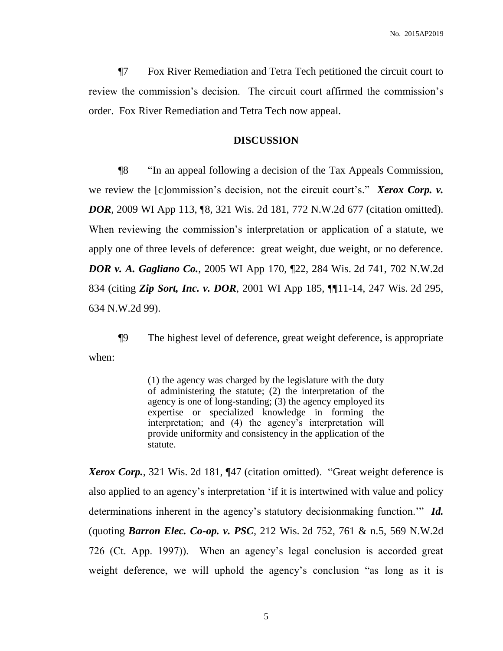¶7 Fox River Remediation and Tetra Tech petitioned the circuit court to review the commission's decision. The circuit court affirmed the commission's order. Fox River Remediation and Tetra Tech now appeal.

## **DISCUSSION**

¶8 "In an appeal following a decision of the Tax Appeals Commission, we review the [c]ommission's decision, not the circuit court's." *Xerox Corp. v. DOR*, 2009 WI App 113, ¶8, 321 Wis. 2d 181, 772 N.W.2d 677 (citation omitted). When reviewing the commission's interpretation or application of a statute, we apply one of three levels of deference: great weight, due weight, or no deference. *DOR v. A. Gagliano Co.*, 2005 WI App 170, ¶22, 284 Wis. 2d 741, 702 N.W.2d 834 (citing *Zip Sort, Inc. v. DOR*, 2001 WI App 185, ¶¶11-14, 247 Wis. 2d 295, 634 N.W.2d 99).

¶9 The highest level of deference, great weight deference, is appropriate when:

> (1) the agency was charged by the legislature with the duty of administering the statute; (2) the interpretation of the agency is one of long-standing; (3) the agency employed its expertise or specialized knowledge in forming the interpretation; and (4) the agency's interpretation will provide uniformity and consistency in the application of the statute.

*Xerox Corp.*, 321 Wis. 2d 181, ¶47 (citation omitted). "Great weight deference is also applied to an agency's interpretation 'if it is intertwined with value and policy determinations inherent in the agency's statutory decisionmaking function.'" *Id.* (quoting *Barron Elec. Co-op. v. PSC*, 212 Wis. 2d 752, 761 & n.5, 569 N.W.2d 726 (Ct. App. 1997)). When an agency's legal conclusion is accorded great weight deference, we will uphold the agency's conclusion "as long as it is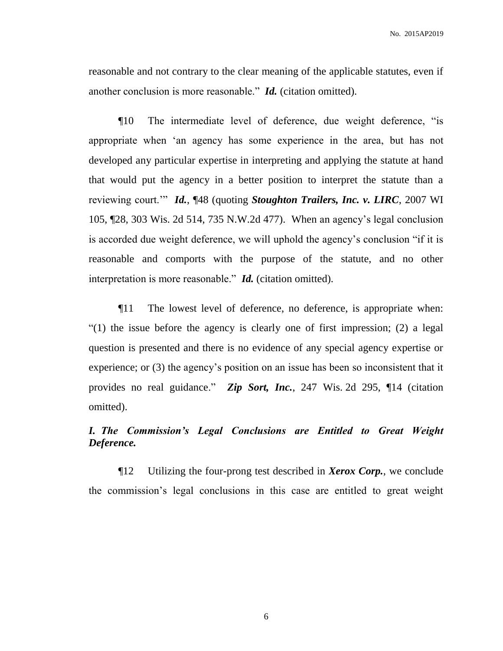reasonable and not contrary to the clear meaning of the applicable statutes, even if another conclusion is more reasonable." *Id.* (citation omitted).

¶10 The intermediate level of deference, due weight deference, "is appropriate when 'an agency has some experience in the area, but has not developed any particular expertise in interpreting and applying the statute at hand that would put the agency in a better position to interpret the statute than a reviewing court.'" *Id.*, ¶48 (quoting *Stoughton Trailers, Inc. v. LIRC*, 2007 WI 105, ¶28, 303 Wis. 2d 514, 735 N.W.2d 477). When an agency's legal conclusion is accorded due weight deference, we will uphold the agency's conclusion "if it is reasonable and comports with the purpose of the statute, and no other interpretation is more reasonable." *Id.* (citation omitted).

¶11 The lowest level of deference, no deference, is appropriate when: "(1) the issue before the agency is clearly one of first impression; (2) a legal question is presented and there is no evidence of any special agency expertise or experience; or (3) the agency's position on an issue has been so inconsistent that it provides no real guidance." *Zip Sort, Inc.*, 247 Wis. 2d 295, ¶14 (citation omitted).

# *I. The Commission's Legal Conclusions are Entitled to Great Weight Deference.*

¶12 Utilizing the four-prong test described in *Xerox Corp.*, we conclude the commission's legal conclusions in this case are entitled to great weight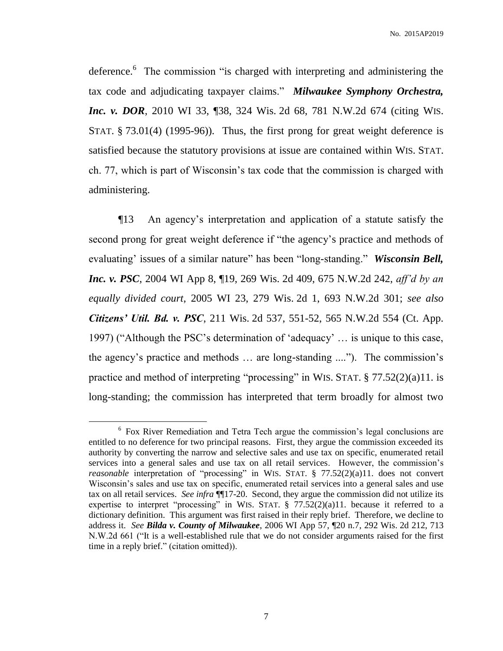No. 2015AP2019

deference.<sup>6</sup> The commission "is charged with interpreting and administering the tax code and adjudicating taxpayer claims." *Milwaukee Symphony Orchestra, Inc. v. DOR*, 2010 WI 33, 138, 324 Wis. 2d 68, 781 N.W.2d 674 (citing WIS. STAT. § 73.01(4) (1995-96)). Thus, the first prong for great weight deference is satisfied because the statutory provisions at issue are contained within WIS. STAT. ch. 77, which is part of Wisconsin's tax code that the commission is charged with administering.

¶13 An agency's interpretation and application of a statute satisfy the second prong for great weight deference if "the agency's practice and methods of evaluating' issues of a similar nature" has been "long-standing." *Wisconsin Bell, Inc. v. PSC*, 2004 WI App 8, ¶19, 269 Wis. 2d 409, 675 N.W.2d 242, *aff'd by an equally divided court*, 2005 WI 23, 279 Wis. 2d 1, 693 N.W.2d 301; *see also Citizens' Util. Bd. v. PSC*, 211 Wis. 2d 537, 551-52, 565 N.W.2d 554 (Ct. App. 1997) ("Although the PSC's determination of 'adequacy' … is unique to this case, the agency's practice and methods … are long-standing ...."). The commission's practice and method of interpreting "processing" in WIS. STAT. § 77.52(2)(a)11. is long-standing; the commission has interpreted that term broadly for almost two

<sup>&</sup>lt;sup>6</sup> Fox River Remediation and Tetra Tech argue the commission's legal conclusions are entitled to no deference for two principal reasons. First, they argue the commission exceeded its authority by converting the narrow and selective sales and use tax on specific, enumerated retail services into a general sales and use tax on all retail services. However, the commission's *reasonable* interpretation of "processing" in WIS. STAT. § 77.52(2)(a)11. does not convert Wisconsin's sales and use tax on specific, enumerated retail services into a general sales and use tax on all retail services. *See infra* ¶¶17-20. Second, they argue the commission did not utilize its expertise to interpret "processing" in WIS. STAT.  $\S$  77.52(2)(a)11. because it referred to a dictionary definition. This argument was first raised in their reply brief. Therefore, we decline to address it. *See Bilda v. County of Milwaukee*, 2006 WI App 57, ¶20 n.7, 292 Wis. 2d 212, 713 N.W.2d 661 ("It is a well-established rule that we do not consider arguments raised for the first time in a reply brief." (citation omitted)).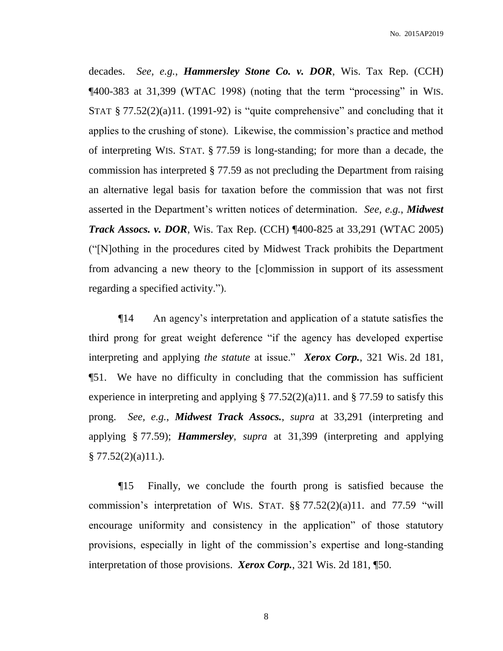decades. *See, e.g.*, *Hammersley Stone Co. v. DOR*, Wis. Tax Rep. (CCH) ¶400-383 at 31,399 (WTAC 1998) (noting that the term "processing" in WIS. STAT  $\S 77.52(2)(a)11.$  (1991-92) is "quite comprehensive" and concluding that it applies to the crushing of stone). Likewise, the commission's practice and method of interpreting WIS. STAT. § 77.59 is long-standing; for more than a decade, the commission has interpreted § 77.59 as not precluding the Department from raising an alternative legal basis for taxation before the commission that was not first asserted in the Department's written notices of determination. *See, e.g.*, *Midwest Track Assocs. v. DOR*, Wis. Tax Rep. (CCH) ¶400-825 at 33,291 (WTAC 2005) ("[N]othing in the procedures cited by Midwest Track prohibits the Department from advancing a new theory to the [c]ommission in support of its assessment regarding a specified activity.").

¶14 An agency's interpretation and application of a statute satisfies the third prong for great weight deference "if the agency has developed expertise interpreting and applying *the statute* at issue." *Xerox Corp.*, 321 Wis. 2d 181, ¶51. We have no difficulty in concluding that the commission has sufficient experience in interpreting and applying  $\S 77.52(2)(a)11$ . and  $\S 77.59$  to satisfy this prong. *See, e.g.*, *Midwest Track Assocs.*, *supra* at 33,291 (interpreting and applying § 77.59); *Hammersley*, *supra* at 31,399 (interpreting and applying  $§ 77.52(2)(a)11.$ ).

¶15 Finally, we conclude the fourth prong is satisfied because the commission's interpretation of WIS. STAT.  $\S$  $\S$  77.52(2)(a)11. and 77.59 "will encourage uniformity and consistency in the application" of those statutory provisions, especially in light of the commission's expertise and long-standing interpretation of those provisions. *Xerox Corp.*, 321 Wis. 2d 181, ¶50.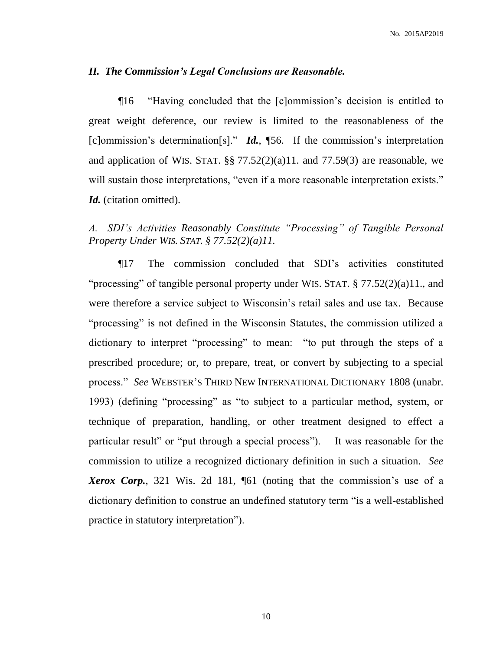## *II. The Commission's Legal Conclusions are Reasonable.*

¶16 "Having concluded that the [c]ommission's decision is entitled to great weight deference, our review is limited to the reasonableness of the [c]ommission's determination[s]." *Id.*, ¶56. If the commission's interpretation and application of WIS. STAT.  $\S$   $77.52(2)(a)11$ . and  $77.59(3)$  are reasonable, we will sustain those interpretations, "even if a more reasonable interpretation exists." *Id.* (citation omitted).

# *A. SDI's Activities Reasonably Constitute "Processing" of Tangible Personal Property Under WIS. STAT. § 77.52(2)(a)11.*

¶17 The commission concluded that SDI's activities constituted "processing" of tangible personal property under WIS. STAT. § 77.52(2)(a)11., and were therefore a service subject to Wisconsin's retail sales and use tax. Because "processing" is not defined in the Wisconsin Statutes, the commission utilized a dictionary to interpret "processing" to mean: "to put through the steps of a prescribed procedure; or, to prepare, treat, or convert by subjecting to a special process." *See* WEBSTER'S THIRD NEW INTERNATIONAL DICTIONARY 1808 (unabr. 1993) (defining "processing" as "to subject to a particular method, system, or technique of preparation, handling, or other treatment designed to effect a particular result" or "put through a special process"). It was reasonable for the commission to utilize a recognized dictionary definition in such a situation. *See Xerox Corp.*, 321 Wis. 2d 181, ¶61 (noting that the commission's use of a dictionary definition to construe an undefined statutory term "is a well-established practice in statutory interpretation").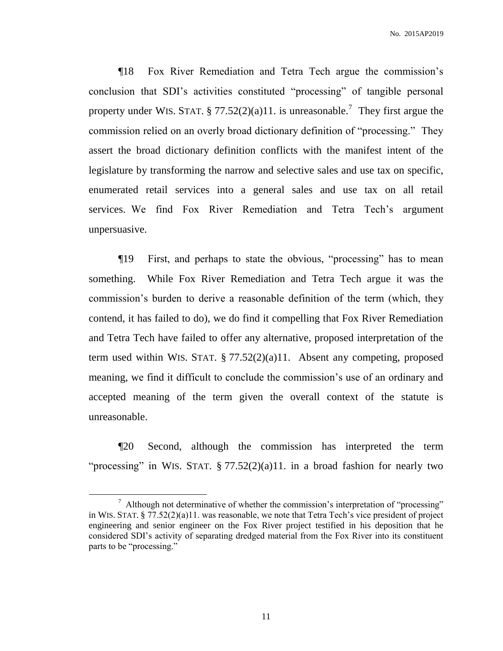¶18 Fox River Remediation and Tetra Tech argue the commission's conclusion that SDI's activities constituted "processing" of tangible personal property under WIS. STAT. § 77.52(2)(a)11. is unreasonable.<sup>7</sup> They first argue the commission relied on an overly broad dictionary definition of "processing." They assert the broad dictionary definition conflicts with the manifest intent of the legislature by transforming the narrow and selective sales and use tax on specific, enumerated retail services into a general sales and use tax on all retail services. We find Fox River Remediation and Tetra Tech's argument unpersuasive.

¶19 First, and perhaps to state the obvious, "processing" has to mean something. While Fox River Remediation and Tetra Tech argue it was the commission's burden to derive a reasonable definition of the term (which, they contend, it has failed to do), we do find it compelling that Fox River Remediation and Tetra Tech have failed to offer any alternative, proposed interpretation of the term used within WIS. STAT.  $\S 77.52(2)(a)11$ . Absent any competing, proposed meaning, we find it difficult to conclude the commission's use of an ordinary and accepted meaning of the term given the overall context of the statute is unreasonable.

¶20 Second, although the commission has interpreted the term "processing" in WIS. STAT.  $\S 77.52(2)(a)11$ . in a broad fashion for nearly two

 $\overline{a}$ 

<sup>&</sup>lt;sup>7</sup> Although not determinative of whether the commission's interpretation of "processing" in WIS. STAT. § 77.52(2)(a)11. was reasonable, we note that Tetra Tech's vice president of project engineering and senior engineer on the Fox River project testified in his deposition that he considered SDI's activity of separating dredged material from the Fox River into its constituent parts to be "processing."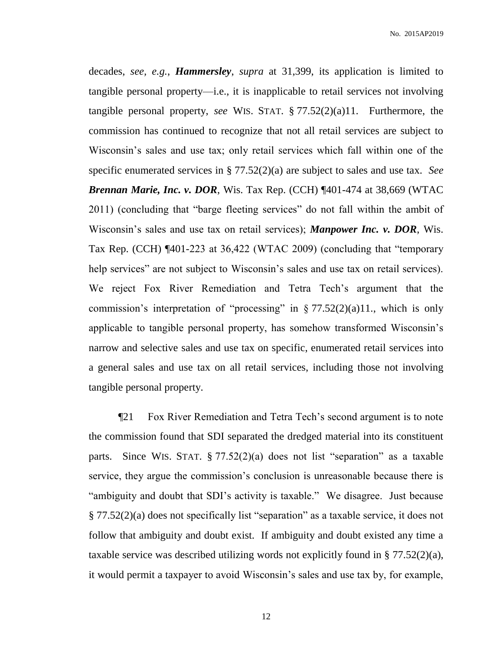decades, *see, e.g.*, *Hammersley*, *supra* at 31,399, its application is limited to tangible personal property—i.e., it is inapplicable to retail services not involving tangible personal property, *see* WIS. STAT. § 77.52(2)(a)11. Furthermore, the commission has continued to recognize that not all retail services are subject to Wisconsin's sales and use tax; only retail services which fall within one of the specific enumerated services in § 77.52(2)(a) are subject to sales and use tax. *See Brennan Marie, Inc. v. DOR, Wis. Tax Rep.* (CCH) ¶401-474 at 38,669 (WTAC 2011) (concluding that "barge fleeting services" do not fall within the ambit of Wisconsin's sales and use tax on retail services); *Manpower Inc. v. DOR*, Wis. Tax Rep. (CCH) ¶401-223 at 36,422 (WTAC 2009) (concluding that "temporary help services" are not subject to Wisconsin's sales and use tax on retail services). We reject Fox River Remediation and Tetra Tech's argument that the commission's interpretation of "processing" in  $\S 77.52(2)(a)11$ ., which is only applicable to tangible personal property, has somehow transformed Wisconsin's narrow and selective sales and use tax on specific, enumerated retail services into a general sales and use tax on all retail services, including those not involving tangible personal property.

¶21 Fox River Remediation and Tetra Tech's second argument is to note the commission found that SDI separated the dredged material into its constituent parts. Since WIS. STAT. § 77.52(2)(a) does not list "separation" as a taxable service, they argue the commission's conclusion is unreasonable because there is "ambiguity and doubt that SDI's activity is taxable." We disagree. Just because § 77.52(2)(a) does not specifically list "separation" as a taxable service, it does not follow that ambiguity and doubt exist. If ambiguity and doubt existed any time a taxable service was described utilizing words not explicitly found in § 77.52(2)(a), it would permit a taxpayer to avoid Wisconsin's sales and use tax by, for example,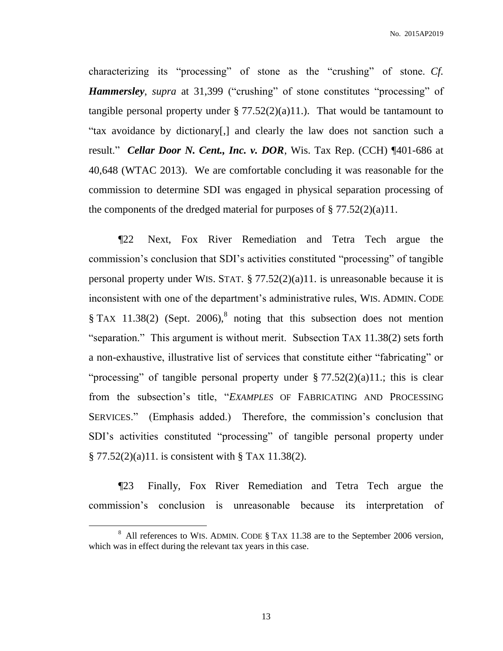No. 2015AP2019

characterizing its "processing" of stone as the "crushing" of stone. *Cf. Hammersley*, *supra* at 31,399 ("crushing" of stone constitutes "processing" of tangible personal property under  $\S 77.52(2)(a)11$ .). That would be tantamount to "tax avoidance by dictionary[,] and clearly the law does not sanction such a result." *Cellar Door N. Cent., Inc. v. DOR*, Wis. Tax Rep. (CCH) ¶401-686 at 40,648 (WTAC 2013). We are comfortable concluding it was reasonable for the commission to determine SDI was engaged in physical separation processing of the components of the dredged material for purposes of  $\S 77.52(2)(a)11$ .

¶22 Next, Fox River Remediation and Tetra Tech argue the commission's conclusion that SDI's activities constituted "processing" of tangible personal property under WIS. STAT. § 77.52(2)(a)11. is unreasonable because it is inconsistent with one of the department's administrative rules, WIS. ADMIN. CODE § TAX 11.38(2) (Sept. 2006),<sup>8</sup> noting that this subsection does not mention "separation." This argument is without merit. Subsection TAX 11.38(2) sets forth a non-exhaustive, illustrative list of services that constitute either "fabricating" or "processing" of tangible personal property under  $\S 77.52(2)(a)11$ .; this is clear from the subsection's title, "*EXAMPLES* OF FABRICATING AND PROCESSING SERVICES." (Emphasis added.) Therefore, the commission's conclusion that SDI's activities constituted "processing" of tangible personal property under § 77.52(2)(a)11. is consistent with § TAX 11.38(2).

¶23 Finally, Fox River Remediation and Tetra Tech argue the commission's conclusion is unreasonable because its interpretation of

 $8$  All references to WIS. ADMIN. CODE  $\S$  TAX 11.38 are to the September 2006 version, which was in effect during the relevant tax years in this case.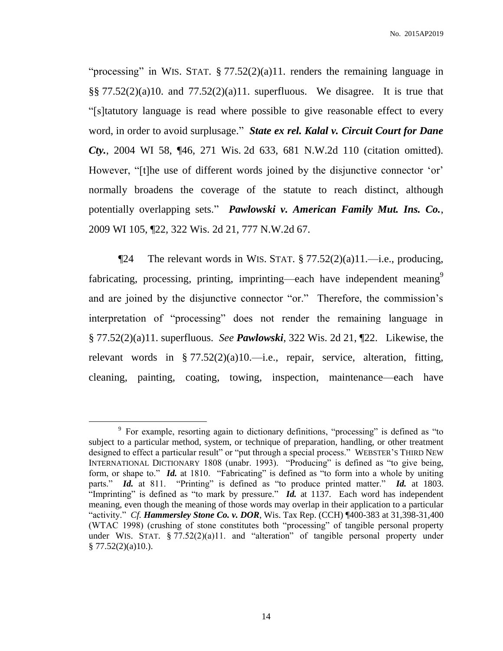"processing" in WIS. STAT. § 77.52(2)(a)11. renders the remaining language in  $\S$ §77.52(2)(a)10. and 77.52(2)(a)11. superfluous. We disagree. It is true that "[s]tatutory language is read where possible to give reasonable effect to every word, in order to avoid surplusage." *State ex rel. Kalal v. Circuit Court for Dane Cty.*, 2004 WI 58, ¶46, 271 Wis. 2d 633, 681 N.W.2d 110 (citation omitted). However, "[t]he use of different words joined by the disjunctive connector 'or' normally broadens the coverage of the statute to reach distinct, although potentially overlapping sets." *Pawlowski v. American Family Mut. Ins. Co.*, 2009 WI 105, ¶22, 322 Wis. 2d 21, 777 N.W.2d 67.

 $\P$ 24 The relevant words in WIS. STAT. § 77.52(2)(a)11.—i.e., producing, fabricating, processing, printing, imprinting—each have independent meaning<sup>9</sup> and are joined by the disjunctive connector "or." Therefore, the commission's interpretation of "processing" does not render the remaining language in § 77.52(2)(a)11. superfluous. *See Pawlowski*, 322 Wis. 2d 21, ¶22. Likewise, the relevant words in § 77.52(2)(a)10.—i.e., repair, service, alteration, fitting, cleaning, painting, coating, towing, inspection, maintenance—each have

<sup>&</sup>lt;sup>9</sup> For example, resorting again to dictionary definitions, "processing" is defined as "to subject to a particular method, system, or technique of preparation, handling, or other treatment designed to effect a particular result" or "put through a special process." WEBSTER'S THIRD NEW INTERNATIONAL DICTIONARY 1808 (unabr. 1993). "Producing" is defined as "to give being, form, or shape to." *Id.* at 1810. "Fabricating" is defined as "to form into a whole by uniting parts." *Id.* at 811. "Printing" is defined as "to produce printed matter." *Id.* at 1803. "Imprinting" is defined as "to mark by pressure."  $\vec{Id}$  at 1137. Each word has independent meaning, even though the meaning of those words may overlap in their application to a particular "activity." *Cf. Hammersley Stone Co. v. DOR*, Wis. Tax Rep. (CCH) ¶400-383 at 31,398-31,400 (WTAC 1998) (crushing of stone constitutes both "processing" of tangible personal property under WIS. STAT.  $\S 77.52(2)(a)11$ . and "alteration" of tangible personal property under  $§ 77.52(2)(a)10.$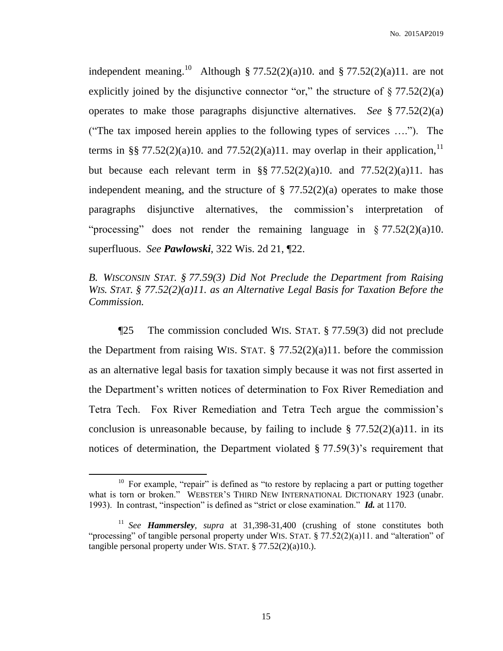independent meaning.<sup>10</sup> Although § 77.52(2)(a)10. and § 77.52(2)(a)11. are not explicitly joined by the disjunctive connector "or," the structure of  $\S 77.52(2)(a)$ operates to make those paragraphs disjunctive alternatives. *See* § 77.52(2)(a) ("The tax imposed herein applies to the following types of services …."). The terms in §§ 77.52(2)(a)10. and 77.52(2)(a)11. may overlap in their application,<sup>11</sup> but because each relevant term in  $\S$   $77.52(2)(a)10$ . and  $77.52(2)(a)11$ . has independent meaning, and the structure of  $\S 77.52(2)(a)$  operates to make those paragraphs disjunctive alternatives, the commission's interpretation of "processing" does not render the remaining language in  $\S 77.52(2)(a)10$ . superfluous. *See Pawlowski*, 322 Wis. 2d 21, ¶22.

# *B. WISCONSIN STAT. § 77.59(3) Did Not Preclude the Department from Raising WIS. STAT. § 77.52(2)(a)11. as an Alternative Legal Basis for Taxation Before the Commission.*

¶25 The commission concluded WIS. STAT. § 77.59(3) did not preclude the Department from raising WIS. STAT.  $\S 77.52(2)(a)11$ . before the commission as an alternative legal basis for taxation simply because it was not first asserted in the Department's written notices of determination to Fox River Remediation and Tetra Tech. Fox River Remediation and Tetra Tech argue the commission's conclusion is unreasonable because, by failing to include  $\S 77.52(2)(a)11$ . in its notices of determination, the Department violated § 77.59(3)'s requirement that

<sup>&</sup>lt;sup>10</sup> For example, "repair" is defined as "to restore by replacing a part or putting together what is torn or broken." WEBSTER'S THIRD NEW INTERNATIONAL DICTIONARY 1923 (unabr. 1993). In contrast, "inspection" is defined as "strict or close examination." *Id.* at 1170.

<sup>&</sup>lt;sup>11</sup> See **Hammersley**, supra at 31,398-31,400 (crushing of stone constitutes both "processing" of tangible personal property under WIS. STAT. § 77.52(2)(a)11. and "alteration" of tangible personal property under WIS. STAT. § 77.52(2)(a)10.).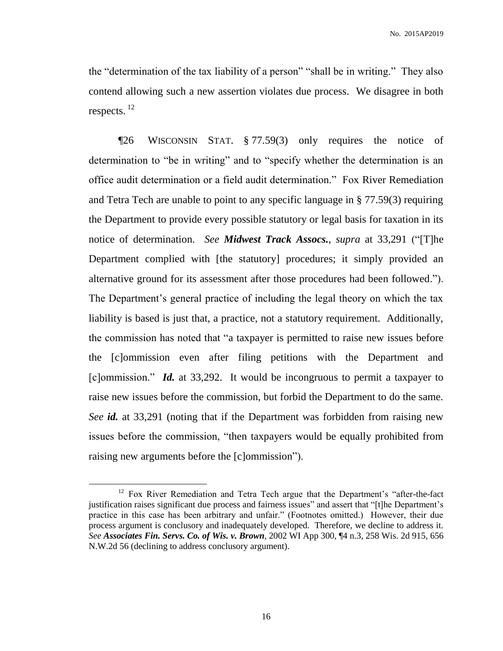the "determination of the tax liability of a person" "shall be in writing." They also contend allowing such a new assertion violates due process. We disagree in both respects. <sup>12</sup>

¶26 WISCONSIN STAT. § 77.59(3) only requires the notice of determination to "be in writing" and to "specify whether the determination is an office audit determination or a field audit determination." Fox River Remediation and Tetra Tech are unable to point to any specific language in § 77.59(3) requiring the Department to provide every possible statutory or legal basis for taxation in its notice of determination. *See Midwest Track Assocs.*, *supra* at 33,291 ("[T]he Department complied with [the statutory] procedures; it simply provided an alternative ground for its assessment after those procedures had been followed."). The Department's general practice of including the legal theory on which the tax liability is based is just that, a practice, not a statutory requirement. Additionally, the commission has noted that "a taxpayer is permitted to raise new issues before the [c]ommission even after filing petitions with the Department and [c]ommission." *Id.* at 33,292. It would be incongruous to permit a taxpayer to raise new issues before the commission, but forbid the Department to do the same. *See id.* at 33,291 (noting that if the Department was forbidden from raising new issues before the commission, "then taxpayers would be equally prohibited from raising new arguments before the [c]ommission").

<sup>&</sup>lt;sup>12</sup> Fox River Remediation and Tetra Tech argue that the Department's "after-the-fact justification raises significant due process and fairness issues" and assert that "[t]he Department's practice in this case has been arbitrary and unfair." (Footnotes omitted.) However, their due process argument is conclusory and inadequately developed. Therefore, we decline to address it. *See Associates Fin. Servs. Co. of Wis. v. Brown*, 2002 WI App 300, ¶4 n.3, 258 Wis. 2d 915, 656 N.W.2d 56 (declining to address conclusory argument).